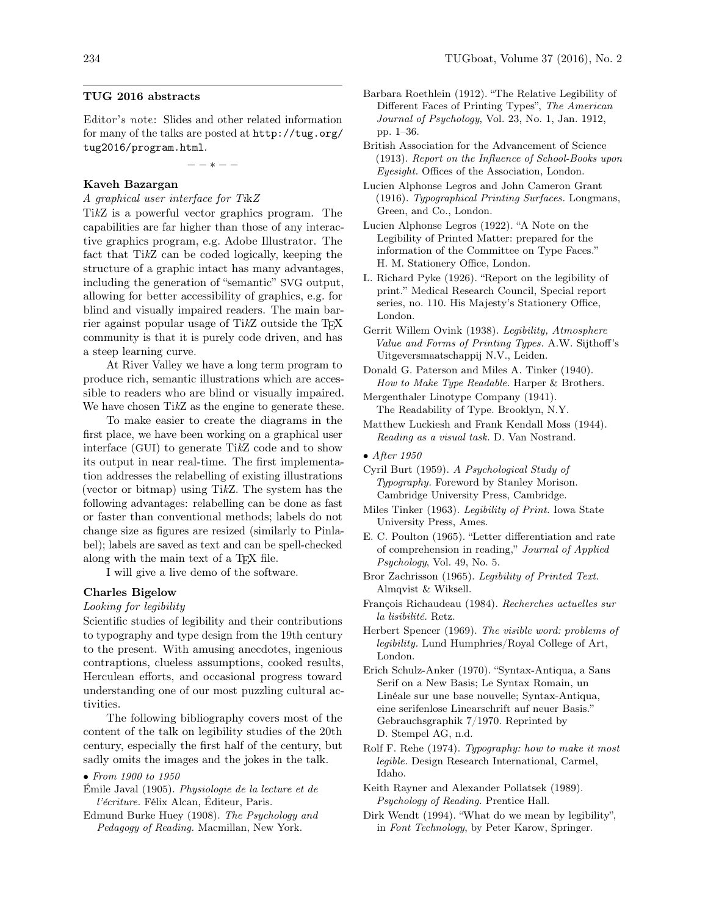### TUG 2016 abstracts

Editor's note: Slides and other related information for many of the talks are posted at [http://tug.org/](http://tug.org/tug2016/program.html) [tug2016/program.html](http://tug.org/tug2016/program.html).

− − ∗ − −

## Kaveh Bazargan

A graphical user interface for TikZ

TikZ is a powerful vector graphics program. The capabilities are far higher than those of any interactive graphics program, e.g. Adobe Illustrator. The fact that TikZ can be coded logically, keeping the structure of a graphic intact has many advantages, including the generation of "semantic" SVG output, allowing for better accessibility of graphics, e.g. for blind and visually impaired readers. The main barrier against popular usage of TikZ outside the TEX community is that it is purely code driven, and has a steep learning curve.

At River Valley we have a long term program to produce rich, semantic illustrations which are accessible to readers who are blind or visually impaired. We have chosen TikZ as the engine to generate these.

To make easier to create the diagrams in the first place, we have been working on a graphical user interface (GUI) to generate TikZ code and to show its output in near real-time. The first implementation addresses the relabelling of existing illustrations (vector or bitmap) using TikZ. The system has the following advantages: relabelling can be done as fast or faster than conventional methods; labels do not change size as figures are resized (similarly to Pinlabel); labels are saved as text and can be spell-checked along with the main text of a T<sub>EX</sub> file.

I will give a live demo of the software.

## Charles Bigelow

### Looking for legibility

Scientific studies of legibility and their contributions to typography and type design from the 19th century to the present. With amusing anecdotes, ingenious contraptions, clueless assumptions, cooked results, Herculean efforts, and occasional progress toward understanding one of our most puzzling cultural activities.

The following bibliography covers most of the content of the talk on legibility studies of the 20th century, especially the first half of the century, but sadly omits the images and the jokes in the talk.

### • From 1900 to 1950

- Émile Javal (1905). Physiologie de la lecture et de l'écriture. Félix Alcan, Éditeur, Paris.
- Edmund Burke Huey (1908). The Psychology and Pedagogy of Reading. Macmillan, New York.
- Barbara Roethlein (1912). "The Relative Legibility of Different Faces of Printing Types", The American Journal of Psychology, Vol. 23, No. 1, Jan. 1912, pp. 1–36.
- British Association for the Advancement of Science (1913). Report on the Influence of School-Books upon Eyesight. Offices of the Association, London.
- Lucien Alphonse Legros and John Cameron Grant (1916). Typographical Printing Surfaces. Longmans, Green, and Co., London.
- Lucien Alphonse Legros (1922). "A Note on the Legibility of Printed Matter: prepared for the information of the Committee on Type Faces." H. M. Stationery Office, London.
- L. Richard Pyke (1926). "Report on the legibility of print." Medical Research Council, Special report series, no. 110. His Majesty's Stationery Office, London.
- Gerrit Willem Ovink (1938). Legibility, Atmosphere Value and Forms of Printing Types. A.W. Sijthoff's Uitgeversmaatschappij N.V., Leiden.
- Donald G. Paterson and Miles A. Tinker (1940). How to Make Type Readable. Harper & Brothers.
- Mergenthaler Linotype Company (1941). The Readability of Type. Brooklyn, N.Y.
- Matthew Luckiesh and Frank Kendall Moss (1944). Reading as a visual task. D. Van Nostrand.
- After 1950
- Cyril Burt (1959). A Psychological Study of Typography. Foreword by Stanley Morison. Cambridge University Press, Cambridge.
- Miles Tinker (1963). Legibility of Print. Iowa State University Press, Ames.
- E. C. Poulton (1965). "Letter differentiation and rate of comprehension in reading," Journal of Applied Psychology, Vol. 49, No. 5.
- Bror Zachrisson (1965). Legibility of Printed Text. Almqvist & Wiksell.
- François Richaudeau (1984). Recherches actuelles sur la lisibilité. Retz.
- Herbert Spencer (1969). The visible word: problems of legibility. Lund Humphries/Royal College of Art, London.
- Erich Schulz-Anker (1970). "Syntax-Antiqua, a Sans Serif on a New Basis; Le Syntax Romain, un Linéale sur une base nouvelle; Syntax-Antiqua, eine serifenlose Linearschrift auf neuer Basis." Gebrauchsgraphik 7/1970. Reprinted by D. Stempel AG, n.d.
- Rolf F. Rehe (1974). Typography: how to make it most legible. Design Research International, Carmel, Idaho.
- Keith Rayner and Alexander Pollatsek (1989). Psychology of Reading. Prentice Hall.
- Dirk Wendt (1994). "What do we mean by legibility", in Font Technology, by Peter Karow, Springer.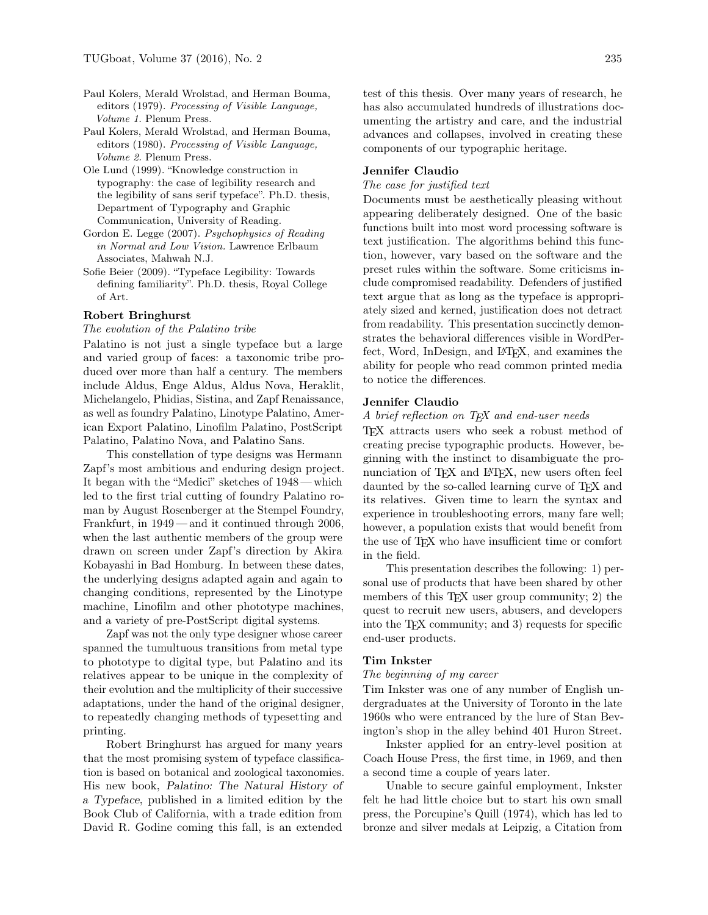- Paul Kolers, Merald Wrolstad, and Herman Bouma, editors (1979). Processing of Visible Language, Volume 1. Plenum Press.
- Paul Kolers, Merald Wrolstad, and Herman Bouma, editors (1980). Processing of Visible Language, Volume 2. Plenum Press.
- Ole Lund (1999). "Knowledge construction in typography: the case of legibility research and the legibility of sans serif typeface". Ph.D. thesis, Department of Typography and Graphic Communication, University of Reading.
- Gordon E. Legge (2007). Psychophysics of Reading in Normal and Low Vision. Lawrence Erlbaum Associates, Mahwah N.J.
- Sofie Beier (2009). "Typeface Legibility: Towards defining familiarity". Ph.D. thesis, Royal College of Art.

#### Robert Bringhurst

#### The evolution of the Palatino tribe

Palatino is not just a single typeface but a large and varied group of faces: a taxonomic tribe produced over more than half a century. The members include Aldus, Enge Aldus, Aldus Nova, Heraklit, Michelangelo, Phidias, Sistina, and Zapf Renaissance, as well as foundry Palatino, Linotype Palatino, American Export Palatino, Linofilm Palatino, PostScript Palatino, Palatino Nova, and Palatino Sans.

This constellation of type designs was Hermann Zapf's most ambitious and enduring design project. It began with the "Medici" sketches of 1948 — which led to the first trial cutting of foundry Palatino roman by August Rosenberger at the Stempel Foundry, Frankfurt, in 1949 — and it continued through 2006, when the last authentic members of the group were drawn on screen under Zapf's direction by Akira Kobayashi in Bad Homburg. In between these dates, the underlying designs adapted again and again to changing conditions, represented by the Linotype machine, Linofilm and other phototype machines, and a variety of pre-PostScript digital systems.

Zapf was not the only type designer whose career spanned the tumultuous transitions from metal type to phototype to digital type, but Palatino and its relatives appear to be unique in the complexity of their evolution and the multiplicity of their successive adaptations, under the hand of the original designer, to repeatedly changing methods of typesetting and printing.

Robert Bringhurst has argued for many years that the most promising system of typeface classification is based on botanical and zoological taxonomies. His new book, Palatino: The Natural History of a Typeface, published in a limited edition by the Book Club of California, with a trade edition from David R. Godine coming this fall, is an extended

test of this thesis. Over many years of research, he has also accumulated hundreds of illustrations documenting the artistry and care, and the industrial advances and collapses, involved in creating these components of our typographic heritage.

### Jennifer Claudio

### The case for justified text

Documents must be aesthetically pleasing without appearing deliberately designed. One of the basic functions built into most word processing software is text justification. The algorithms behind this function, however, vary based on the software and the preset rules within the software. Some criticisms include compromised readability. Defenders of justified text argue that as long as the typeface is appropriately sized and kerned, justification does not detract from readability. This presentation succinctly demonstrates the behavioral differences visible in WordPerfect, Word, InDesign, and L<sup>A</sup>T<sub>F</sub>X, and examines the ability for people who read common printed media to notice the differences.

### Jennifer Claudio

### A brief reflection on TFX and end-user needs

TEX attracts users who seek a robust method of creating precise typographic products. However, beginning with the instinct to disambiguate the pronunciation of T<sub>EX</sub> and L<sup>A</sup>T<sub>EX</sub>, new users often feel daunted by the so-called learning curve of T<sub>E</sub>X and its relatives. Given time to learn the syntax and experience in troubleshooting errors, many fare well; however, a population exists that would benefit from the use of TEX who have insufficient time or comfort in the field.

This presentation describes the following: 1) personal use of products that have been shared by other members of this T<sub>E</sub>X user group community; 2) the quest to recruit new users, abusers, and developers into the TEX community; and 3) requests for specific end-user products.

### Tim Inkster

#### The beginning of my career

Tim Inkster was one of any number of English undergraduates at the University of Toronto in the late 1960s who were entranced by the lure of Stan Bevington's shop in the alley behind 401 Huron Street.

Inkster applied for an entry-level position at Coach House Press, the first time, in 1969, and then a second time a couple of years later.

Unable to secure gainful employment, Inkster felt he had little choice but to start his own small press, the Porcupine's Quill (1974), which has led to bronze and silver medals at Leipzig, a Citation from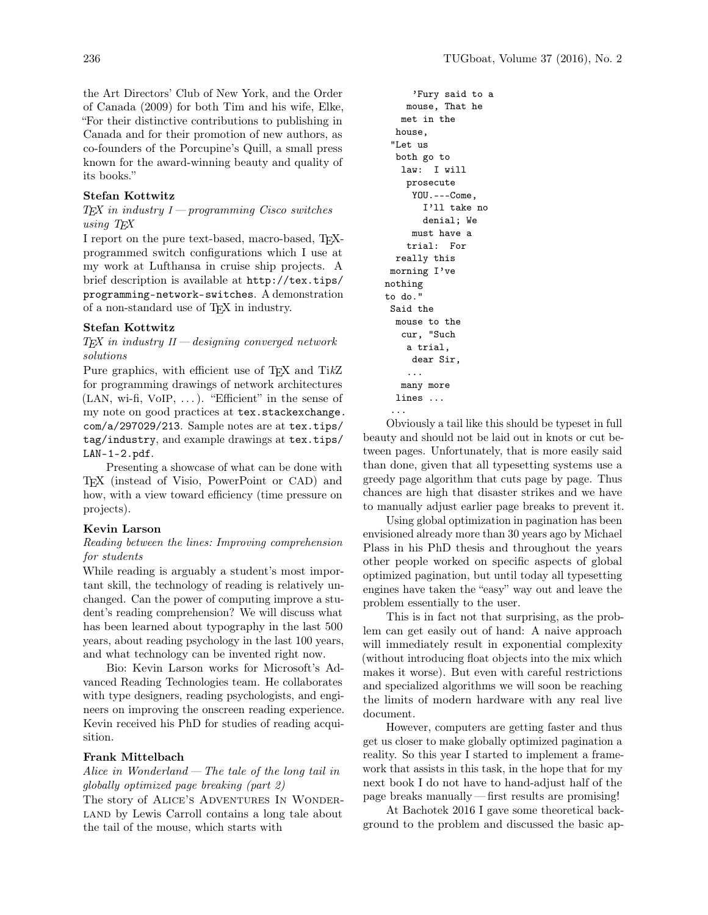the Art Directors' Club of New York, and the Order of Canada (2009) for both Tim and his wife, Elke, "For their distinctive contributions to publishing in Canada and for their promotion of new authors, as co-founders of the Porcupine's Quill, a small press known for the award-winning beauty and quality of its books."

## Stefan Kottwitz

### $TEX$  in industry  $I$  — programming Cisco switches using T<sub>EX</sub>

I report on the pure text-based, macro-based, TEXprogrammed switch configurations which I use at my work at Lufthansa in cruise ship projects. A brief description is available at [http://tex.tips/](http://tex.tips/programming-network-switches) [programming-network-switches](http://tex.tips/programming-network-switches). A demonstration of a non-standard use of TEX in industry.

## Stefan Kottwitz

## $TEX$  in industry  $II$  — designing converged network solutions

Pure graphics, with efficient use of T<sub>F</sub>X and TikZ for programming drawings of network architectures  $(LAN, wi-fi, VoIP, ...)$ . "Efficient" in the sense of my note on good practices at [tex.stackexchange.](tex.stackexchange.com/a/297029/213) [com/a/297029/213](tex.stackexchange.com/a/297029/213). Sample notes are at [tex.tips/](tex.tips/tag/industry) [tag/industry](tex.tips/tag/industry), and example drawings at [tex.tips/](tex.tips/LAN-1-2.pdf) [LAN-1-2.pdf](tex.tips/LAN-1-2.pdf).

Presenting a showcase of what can be done with TEX (instead of Visio, PowerPoint or CAD) and how, with a view toward efficiency (time pressure on projects).

## Kevin Larson

## Reading between the lines: Improving comprehension for students

While reading is arguably a student's most important skill, the technology of reading is relatively unchanged. Can the power of computing improve a student's reading comprehension? We will discuss what has been learned about typography in the last 500 years, about reading psychology in the last 100 years, and what technology can be invented right now.

Bio: Kevin Larson works for Microsoft's Advanced Reading Technologies team. He collaborates with type designers, reading psychologists, and engineers on improving the onscreen reading experience. Kevin received his PhD for studies of reading acquisition.

## Frank Mittelbach

# Alice in Wonderland— The tale of the long tail in globally optimized page breaking (part 2)

The story of ALICE'S ADVENTURES IN WONDER-LAND by Lewis Carroll contains a long tale about the tail of the mouse, which starts with

```
'Fury said to a
    mouse, That he
  met in the
 house,
 "Let us
  both go to
   law: I will
    prosecute
     YOU.---Come,
       I'll take no
       denial; We
     must have a
    trial: For
  really this
 morning I've
nothing
to do."
 Said the
 mouse to the
   cur, "Such
    a trial,
     dear Sir,
    ...
   many more
  lines ...
 ...
```
Obviously a tail like this should be typeset in full beauty and should not be laid out in knots or cut between pages. Unfortunately, that is more easily said than done, given that all typesetting systems use a greedy page algorithm that cuts page by page. Thus chances are high that disaster strikes and we have to manually adjust earlier page breaks to prevent it.

Using global optimization in pagination has been envisioned already more than 30 years ago by Michael Plass in his PhD thesis and throughout the years other people worked on specific aspects of global optimized pagination, but until today all typesetting engines have taken the "easy" way out and leave the problem essentially to the user.

This is in fact not that surprising, as the problem can get easily out of hand: A naive approach will immediately result in exponential complexity (without introducing float objects into the mix which makes it worse). But even with careful restrictions and specialized algorithms we will soon be reaching the limits of modern hardware with any real live document.

However, computers are getting faster and thus get us closer to make globally optimized pagination a reality. So this year I started to implement a framework that assists in this task, in the hope that for my next book I do not have to hand-adjust half of the page breaks manually— first results are promising!

At Bachotek 2016 I gave some theoretical background to the problem and discussed the basic ap